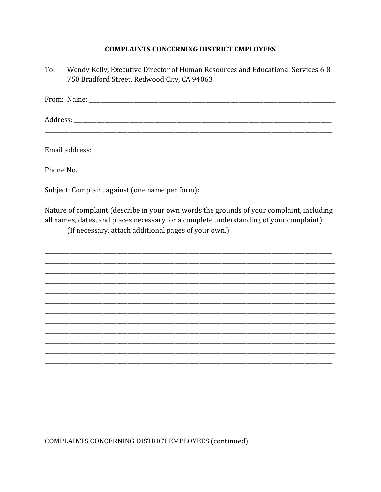## **COMPLAINTS CONCERNING DISTRICT EMPLOYEES**

| To: | Wendy Kelly, Executive Director of Human Resources and Educational Services 6-8<br>750 Bradford Street, Redwood City, CA 94063                                                                                                              |
|-----|---------------------------------------------------------------------------------------------------------------------------------------------------------------------------------------------------------------------------------------------|
|     |                                                                                                                                                                                                                                             |
|     |                                                                                                                                                                                                                                             |
|     |                                                                                                                                                                                                                                             |
|     |                                                                                                                                                                                                                                             |
|     | Subject: Complaint against (one name per form): _________________________________                                                                                                                                                           |
|     | Nature of complaint (describe in your own words the grounds of your complaint, including<br>all names, dates, and places necessary for a complete understanding of your complaint):<br>(If necessary, attach additional pages of your own.) |
|     |                                                                                                                                                                                                                                             |
|     |                                                                                                                                                                                                                                             |
|     |                                                                                                                                                                                                                                             |
|     |                                                                                                                                                                                                                                             |
|     |                                                                                                                                                                                                                                             |
|     |                                                                                                                                                                                                                                             |
|     |                                                                                                                                                                                                                                             |
|     |                                                                                                                                                                                                                                             |
|     |                                                                                                                                                                                                                                             |
|     |                                                                                                                                                                                                                                             |
|     |                                                                                                                                                                                                                                             |
|     | $COMDI$ AINTE $CONCCDNIMO$ DICTRICT CMBL OVECE $(CQ)$                                                                                                                                                                                       |

COMPLAINTS CONCERNING DISTRICT EMPLOYEES (continued)